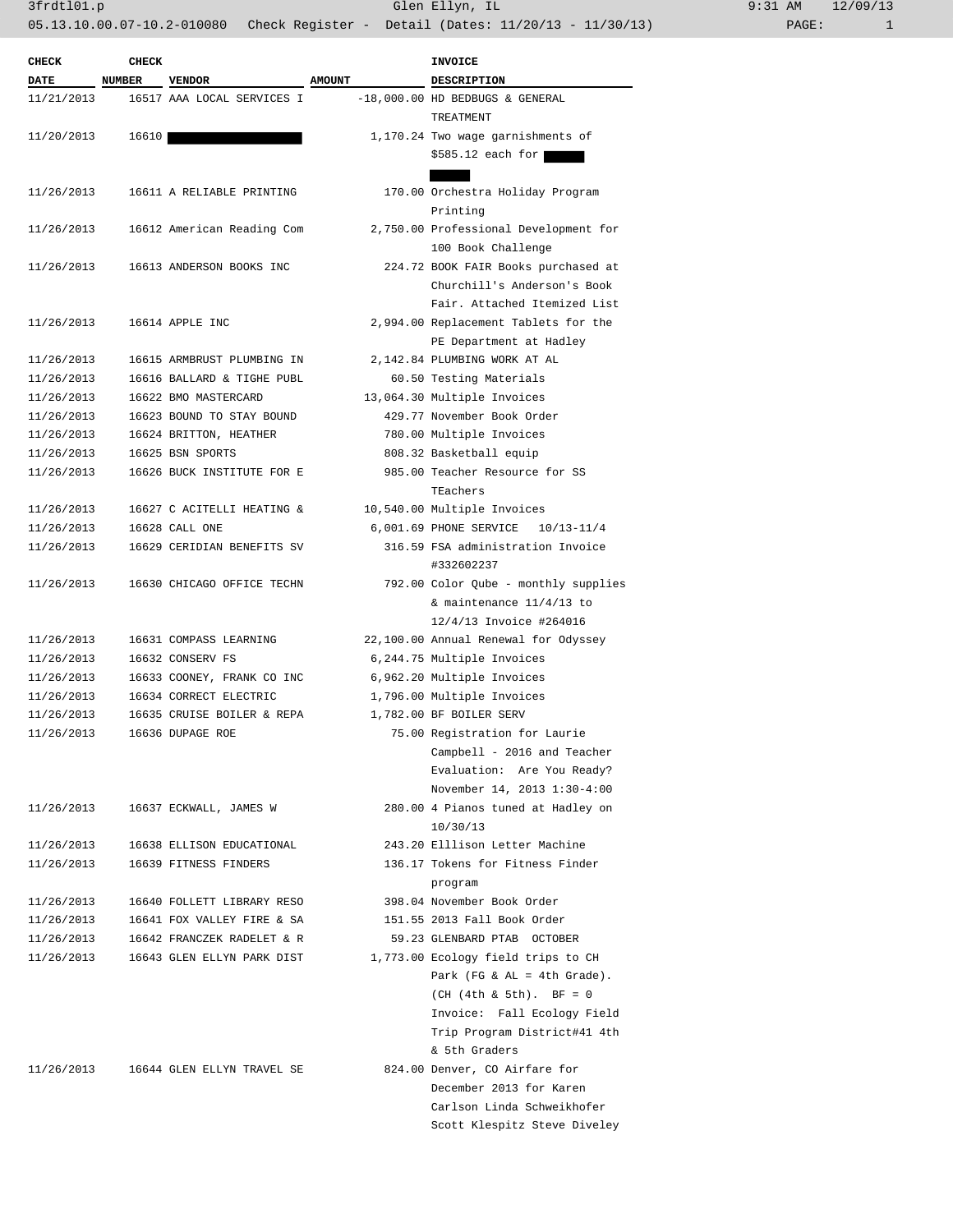| <b>CHECK</b> | CHECK         |                                       |               | <b>INVOICE</b>                        |
|--------------|---------------|---------------------------------------|---------------|---------------------------------------|
| <b>DATE</b>  | <b>NUMBER</b> | <b>VENDOR</b>                         | <b>AMOUNT</b> | DESCRIPTION                           |
| 11/21/2013   |               | 16517 AAA LOCAL SERVICES I            |               | $-18,000.00$ HD BEDBUGS & GENERAL     |
|              |               |                                       |               | TREATMENT                             |
| 11/20/2013   | 16610         |                                       |               | 1,170.24 Two wage garnishments of     |
|              |               |                                       |               | $$585.12$ each for                    |
|              |               |                                       |               |                                       |
| 11/26/2013   |               | 16611 A RELIABLE PRINTING             |               | 170.00 Orchestra Holiday Program      |
|              |               |                                       |               | Printing                              |
| 11/26/2013   |               | 16612 American Reading Com            |               | 2,750.00 Professional Development for |
|              |               |                                       |               | 100 Book Challenge                    |
|              |               |                                       |               |                                       |
| 11/26/2013   |               | 16613 ANDERSON BOOKS INC              |               | 224.72 BOOK FAIR Books purchased at   |
|              |               |                                       |               | Churchill's Anderson's Book           |
|              |               |                                       |               | Fair. Attached Itemized List          |
| 11/26/2013   |               | 16614 APPLE INC                       |               | 2,994.00 Replacement Tablets for the  |
|              |               |                                       |               | PE Department at Hadley               |
| 11/26/2013   |               | 16615 ARMBRUST PLUMBING IN            |               | 2,142.84 PLUMBING WORK AT AL          |
| 11/26/2013   |               | 16616 BALLARD & TIGHE PUBL            |               | 60.50 Testing Materials               |
| 11/26/2013   |               | 16622 BMO MASTERCARD                  |               | 13,064.30 Multiple Invoices           |
| 11/26/2013   |               | 16623 BOUND TO STAY BOUND             |               | 429.77 November Book Order            |
| 11/26/2013   |               | 16624 BRITTON, HEATHER                |               | 780.00 Multiple Invoices              |
| 11/26/2013   |               | 16625 BSN SPORTS                      |               | 808.32 Basketball equip               |
| 11/26/2013   |               | 16626 BUCK INSTITUTE FOR E            |               | 985.00 Teacher Resource for SS        |
|              |               |                                       |               | TEachers                              |
| 11/26/2013   |               | 16627 C ACITELLI HEATING &            |               | 10,540.00 Multiple Invoices           |
| 11/26/2013   |               | 16628 CALL ONE                        |               | 6,001.69 PHONE SERVICE 10/13-11/4     |
| 11/26/2013   |               | 16629 CERIDIAN BENEFITS SV            |               | 316.59 FSA administration Invoice     |
|              |               |                                       |               | #332602237                            |
| 11/26/2013   |               | 16630 CHICAGO OFFICE TECHN            |               | 792.00 Color Qube - monthly supplies  |
|              |               |                                       |               | & maintenance $11/4/13$ to            |
|              |               |                                       |               |                                       |
|              |               |                                       |               | 12/4/13 Invoice #264016               |
| 11/26/2013   |               | 16631 COMPASS LEARNING                |               | 22,100.00 Annual Renewal for Odyssey  |
| 11/26/2013   |               | 16632 CONSERV FS                      |               | 6,244.75 Multiple Invoices            |
| 11/26/2013   |               | 16633 COONEY, FRANK CO INC            |               | 6,962.20 Multiple Invoices            |
| 11/26/2013   |               | 16634 CORRECT ELECTRIC                |               | 1,796.00 Multiple Invoices            |
| 11/26/2013   |               | 16635 CRUISE BOILER & REPA            |               | 1,782.00 BF BOILER SERV               |
| 11/26/2013   |               | 16636 DUPAGE ROE                      |               | 75.00 Registration for Laurie         |
|              |               |                                       |               | Campbell - 2016 and Teacher           |
|              |               |                                       |               | Evaluation: Are You Ready?            |
|              |               |                                       |               | November 14, 2013 1:30-4:00           |
| 11/26/2013   |               | 16637 ECKWALL, JAMES W                |               | 280.00 4 Pianos tuned at Hadley on    |
|              |               |                                       |               | 10/30/13                              |
| 11/26/2013   |               | 16638 ELLISON EDUCATIONAL             |               | 243.20 Elllison Letter Machine        |
| 11/26/2013   |               | 16639 FITNESS FINDERS                 |               | 136.17 Tokens for Fitness Finder      |
|              |               |                                       |               | program                               |
| 11/26/2013   |               | 16640 FOLLETT LIBRARY RESO            |               | 398.04 November Book Order            |
| 11/26/2013   |               | 16641 FOX VALLEY FIRE & SA            |               | 151.55 2013 Fall Book Order           |
| 11/26/2013   |               | 16642 FRANCZEK RADELET & R            |               | 59.23 GLENBARD PTAB OCTOBER           |
| 11/26/2013   |               | 16643 GLEN ELLYN PARK DIST            |               | 1,773.00 Ecology field trips to CH    |
|              |               |                                       |               | Park (FG & AL = 4th Grade).           |
|              |               |                                       |               | $(CH (4th & 5th)$ . BF = 0            |
|              |               |                                       |               | Invoice: Fall Ecology Field           |
|              |               |                                       |               | Trip Program District#41 4th          |
|              |               |                                       |               | & 5th Graders                         |
|              |               |                                       |               |                                       |
|              |               | 11/26/2013 16644 GLEN ELLYN TRAVEL SE |               | 824.00 Denver, CO Airfare for         |
|              |               |                                       |               | December 2013 for Karen               |
|              |               |                                       |               | Carlson Linda Schweikhofer            |
|              |               |                                       |               | Scott Klespitz Steve Diveley          |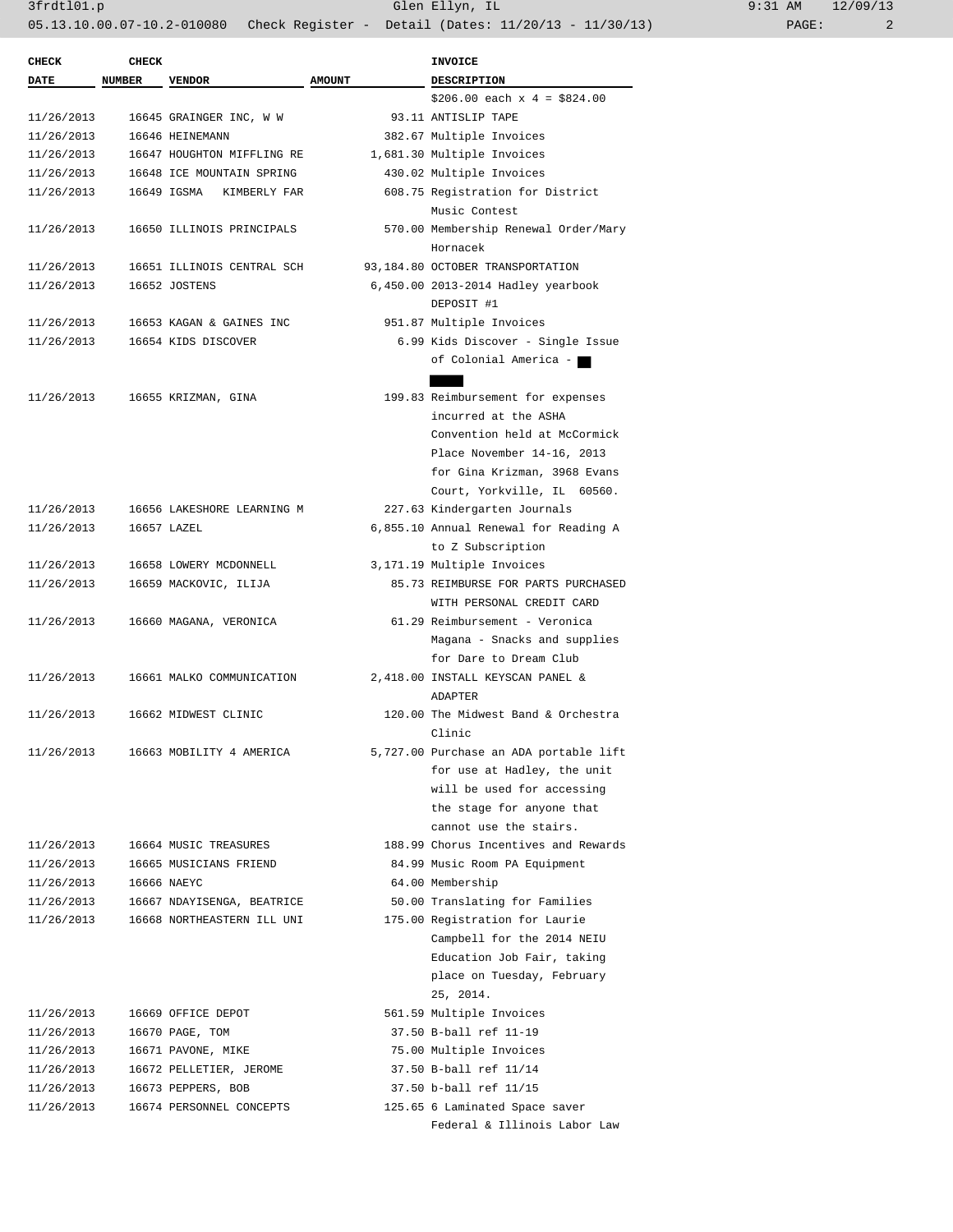| <b>CHECK</b> | <b>CHECK</b>  |                            |               | INVOICE                                |  |  |
|--------------|---------------|----------------------------|---------------|----------------------------------------|--|--|
| DATE         | <b>NUMBER</b> | <b>VENDOR</b>              | <b>AMOUNT</b> | <b>DESCRIPTION</b>                     |  |  |
|              |               |                            |               | $$206.00$ each x 4 = \$824.00          |  |  |
| 11/26/2013   |               | 16645 GRAINGER INC, W W    |               | 93.11 ANTISLIP TAPE                    |  |  |
| 11/26/2013   |               | 16646 HEINEMANN            |               | 382.67 Multiple Invoices               |  |  |
| 11/26/2013   |               | 16647 HOUGHTON MIFFLING RE |               | 1,681.30 Multiple Invoices             |  |  |
| 11/26/2013   |               | 16648 ICE MOUNTAIN SPRING  |               | 430.02 Multiple Invoices               |  |  |
| 11/26/2013   |               | 16649 IGSMA KIMBERLY FAR   |               | 608.75 Registration for District       |  |  |
|              |               |                            |               | Music Contest                          |  |  |
| 11/26/2013   |               | 16650 ILLINOIS PRINCIPALS  |               | 570.00 Membership Renewal Order/Mary   |  |  |
|              |               |                            |               | Hornacek                               |  |  |
| 11/26/2013   |               | 16651 ILLINOIS CENTRAL SCH |               | 93,184.80 OCTOBER TRANSPORTATION       |  |  |
| 11/26/2013   |               | 16652 JOSTENS              |               | 6,450.00 2013-2014 Hadley yearbook     |  |  |
|              |               |                            |               | DEPOSIT #1                             |  |  |
| 11/26/2013   |               | 16653 KAGAN & GAINES INC   |               | 951.87 Multiple Invoices               |  |  |
| 11/26/2013   |               | 16654 KIDS DISCOVER        |               | 6.99 Kids Discover - Single Issue      |  |  |
|              |               |                            |               |                                        |  |  |
|              |               |                            |               | of Colonial America -                  |  |  |
|              |               |                            |               |                                        |  |  |
| 11/26/2013   |               | 16655 KRIZMAN, GINA        |               | 199.83 Reimbursement for expenses      |  |  |
|              |               |                            |               | incurred at the ASHA                   |  |  |
|              |               |                            |               | Convention held at McCormick           |  |  |
|              |               |                            |               | Place November 14-16, 2013             |  |  |
|              |               |                            |               | for Gina Krizman, 3968 Evans           |  |  |
|              |               |                            |               | Court, Yorkville, IL 60560.            |  |  |
| 11/26/2013   |               | 16656 LAKESHORE LEARNING M |               | 227.63 Kindergarten Journals           |  |  |
| 11/26/2013   |               | 16657 LAZEL                |               | 6,855.10 Annual Renewal for Reading A  |  |  |
|              |               |                            |               | to Z Subscription                      |  |  |
| 11/26/2013   |               | 16658 LOWERY MCDONNELL     |               | 3,171.19 Multiple Invoices             |  |  |
| 11/26/2013   |               | 16659 MACKOVIC, ILIJA      |               | 85.73 REIMBURSE FOR PARTS PURCHASED    |  |  |
|              |               |                            |               | WITH PERSONAL CREDIT CARD              |  |  |
| 11/26/2013   |               | 16660 MAGANA, VERONICA     |               | 61.29 Reimbursement - Veronica         |  |  |
|              |               |                            |               | Magana - Snacks and supplies           |  |  |
|              |               |                            |               | for Dare to Dream Club                 |  |  |
| 11/26/2013   |               | 16661 MALKO COMMUNICATION  |               | 2,418.00 INSTALL KEYSCAN PANEL &       |  |  |
|              |               |                            |               | <b>ADAPTER</b>                         |  |  |
| 11/26/2013   |               | 16662 MIDWEST CLINIC       |               | 120.00 The Midwest Band & Orchestra    |  |  |
|              |               |                            |               | Clinic                                 |  |  |
| 11/26/2013   |               | 16663 MOBILITY 4 AMERICA   |               | 5,727.00 Purchase an ADA portable lift |  |  |
|              |               |                            |               | for use at Hadley, the unit            |  |  |
|              |               |                            |               | will be used for accessing             |  |  |
|              |               |                            |               | the stage for anyone that              |  |  |
|              |               |                            |               | cannot use the stairs.                 |  |  |
| 11/26/2013   |               | 16664 MUSIC TREASURES      |               | 188.99 Chorus Incentives and Rewards   |  |  |
| 11/26/2013   |               | 16665 MUSICIANS FRIEND     |               | 84.99 Music Room PA Equipment          |  |  |
| 11/26/2013   |               | 16666 NAEYC                |               | 64.00 Membership                       |  |  |
| 11/26/2013   |               | 16667 NDAYISENGA, BEATRICE |               | 50.00 Translating for Families         |  |  |
| 11/26/2013   |               | 16668 NORTHEASTERN ILL UNI |               | 175.00 Registration for Laurie         |  |  |
|              |               |                            |               | Campbell for the 2014 NEIU             |  |  |
|              |               |                            |               | Education Job Fair, taking             |  |  |
|              |               |                            |               | place on Tuesday, February             |  |  |
|              |               |                            |               | 25, 2014.                              |  |  |
| 11/26/2013   |               | 16669 OFFICE DEPOT         |               | 561.59 Multiple Invoices               |  |  |
| 11/26/2013   |               | 16670 PAGE, TOM            |               | 37.50 B-ball ref 11-19                 |  |  |
| 11/26/2013   |               | 16671 PAVONE, MIKE         |               | 75.00 Multiple Invoices                |  |  |
| 11/26/2013   |               | 16672 PELLETIER, JEROME    |               | 37.50 B-ball ref 11/14                 |  |  |
| 11/26/2013   |               |                            |               | 37.50 b-ball ref 11/15                 |  |  |
|              |               | 16673 PEPPERS, BOB         |               |                                        |  |  |
| 11/26/2013   |               | 16674 PERSONNEL CONCEPTS   |               | 125.65 6 Laminated Space saver         |  |  |
|              |               |                            |               | Federal & Illinois Labor Law           |  |  |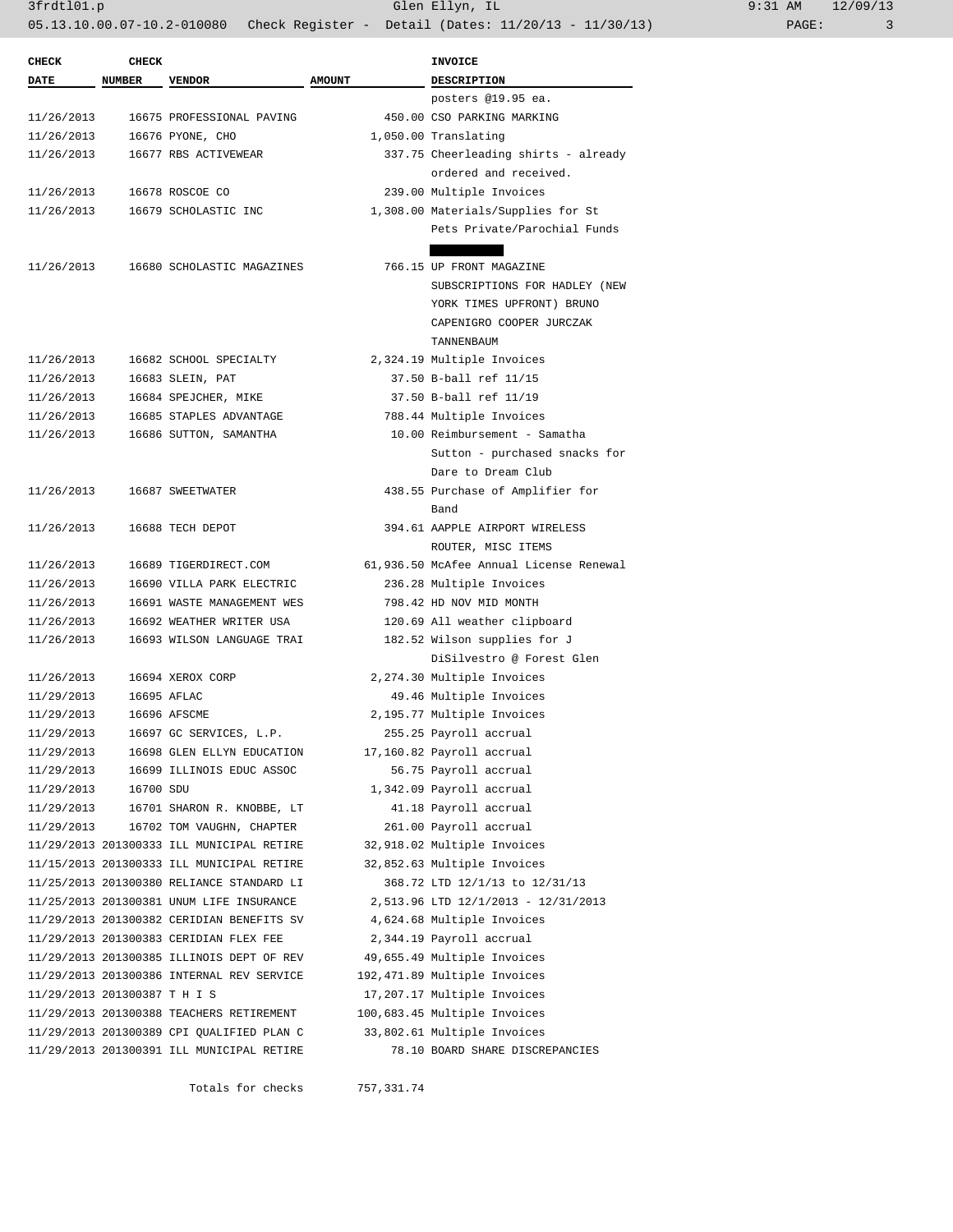| <b>CHECK</b>                 | <b>CHECK</b>  |                                           |               | <b>INVOICE</b>                          |  |
|------------------------------|---------------|-------------------------------------------|---------------|-----------------------------------------|--|
| <b>DATE</b>                  | <b>NUMBER</b> | <b>VENDOR</b>                             | <b>AMOUNT</b> | <b>DESCRIPTION</b>                      |  |
|                              |               |                                           |               | posters @19.95 ea.                      |  |
| 11/26/2013                   |               | 16675 PROFESSIONAL PAVING                 |               | 450.00 CSO PARKING MARKING              |  |
| 11/26/2013                   |               | 16676 PYONE, CHO                          |               | 1,050.00 Translating                    |  |
| 11/26/2013                   |               | 16677 RBS ACTIVEWEAR                      |               | 337.75 Cheerleading shirts - already    |  |
|                              |               |                                           |               | ordered and received.                   |  |
| 11/26/2013                   |               | 16678 ROSCOE CO                           |               | 239.00 Multiple Invoices                |  |
| 11/26/2013                   |               | 16679 SCHOLASTIC INC                      |               | 1,308.00 Materials/Supplies for St      |  |
|                              |               |                                           |               | Pets Private/Parochial Funds            |  |
|                              |               |                                           |               |                                         |  |
| 11/26/2013                   |               | 16680 SCHOLASTIC MAGAZINES                |               | 766.15 UP FRONT MAGAZINE                |  |
|                              |               |                                           |               | SUBSCRIPTIONS FOR HADLEY (NEW           |  |
|                              |               |                                           |               | YORK TIMES UPFRONT) BRUNO               |  |
|                              |               |                                           |               | CAPENIGRO COOPER JURCZAK                |  |
|                              |               |                                           |               | TANNENBAUM                              |  |
| 11/26/2013                   |               | 16682 SCHOOL SPECIALTY                    |               | 2,324.19 Multiple Invoices              |  |
| 11/26/2013                   |               | 16683 SLEIN, PAT                          |               | 37.50 B-ball ref 11/15                  |  |
| 11/26/2013                   |               | 16684 SPEJCHER, MIKE                      |               | 37.50 B-ball ref 11/19                  |  |
| 11/26/2013                   |               | 16685 STAPLES ADVANTAGE                   |               | 788.44 Multiple Invoices                |  |
| 11/26/2013                   |               | 16686 SUTTON, SAMANTHA                    |               | 10.00 Reimbursement - Samatha           |  |
|                              |               |                                           |               | Sutton - purchased snacks for           |  |
|                              |               |                                           |               | Dare to Dream Club                      |  |
| 11/26/2013                   |               | 16687 SWEETWATER                          |               | 438.55 Purchase of Amplifier for        |  |
|                              |               |                                           |               | Band                                    |  |
| 11/26/2013                   |               | 16688 TECH DEPOT                          |               | 394.61 AAPPLE AIRPORT WIRELESS          |  |
|                              |               |                                           |               | ROUTER, MISC ITEMS                      |  |
| 11/26/2013                   |               | 16689 TIGERDIRECT.COM                     |               | 61,936.50 McAfee Annual License Renewal |  |
| 11/26/2013                   |               | 16690 VILLA PARK ELECTRIC                 |               | 236.28 Multiple Invoices                |  |
| 11/26/2013                   |               | 16691 WASTE MANAGEMENT WES                |               | 798.42 HD NOV MID MONTH                 |  |
| 11/26/2013                   |               | 16692 WEATHER WRITER USA                  |               | 120.69 All weather clipboard            |  |
| 11/26/2013                   |               | 16693 WILSON LANGUAGE TRAI                |               | 182.52 Wilson supplies for J            |  |
|                              |               |                                           |               | DiSilvestro @ Forest Glen               |  |
| 11/26/2013                   |               | 16694 XEROX CORP                          |               | 2,274.30 Multiple Invoices              |  |
| 11/29/2013                   |               | 16695 AFLAC                               |               | 49.46 Multiple Invoices                 |  |
| 11/29/2013                   |               | 16696 AFSCME                              |               | 2,195.77 Multiple Invoices              |  |
| 11/29/2013                   |               | 16697 GC SERVICES, L.P.                   |               | 255.25 Payroll accrual                  |  |
| 11/29/2013                   |               | 16698 GLEN ELLYN EDUCATION                |               | 17,160.82 Payroll accrual               |  |
| 11/29/2013                   |               | 16699 ILLINOIS EDUC ASSOC                 |               | 56.75 Payroll accrual                   |  |
| 11/29/2013                   | 16700 SDU     |                                           |               | 1,342.09 Payroll accrual                |  |
| 11/29/2013                   |               | 16701 SHARON R. KNOBBE, LT                |               | 41.18 Payroll accrual                   |  |
| 11/29/2013                   |               | 16702 TOM VAUGHN, CHAPTER                 |               | 261.00 Payroll accrual                  |  |
|                              |               | 11/29/2013 201300333 ILL MUNICIPAL RETIRE |               | 32,918.02 Multiple Invoices             |  |
|                              |               | 11/15/2013 201300333 ILL MUNICIPAL RETIRE |               | 32,852.63 Multiple Invoices             |  |
|                              |               | 11/25/2013 201300380 RELIANCE STANDARD LI |               | 368.72 LTD 12/1/13 to 12/31/13          |  |
|                              |               | 11/25/2013 201300381 UNUM LIFE INSURANCE  |               | 2,513.96 LTD 12/1/2013 - 12/31/2013     |  |
|                              |               | 11/29/2013 201300382 CERIDIAN BENEFITS SV |               | 4,624.68 Multiple Invoices              |  |
|                              |               | 11/29/2013 201300383 CERIDIAN FLEX FEE    |               | 2,344.19 Payroll accrual                |  |
|                              |               | 11/29/2013 201300385 ILLINOIS DEPT OF REV |               | 49,655.49 Multiple Invoices             |  |
|                              |               | 11/29/2013 201300386 INTERNAL REV SERVICE |               | 192, 471.89 Multiple Invoices           |  |
| 11/29/2013 201300387 T H I S |               |                                           |               | 17,207.17 Multiple Invoices             |  |
|                              |               | 11/29/2013 201300388 TEACHERS RETIREMENT  |               | 100,683.45 Multiple Invoices            |  |
|                              |               | 11/29/2013 201300389 CPI QUALIFIED PLAN C |               | 33,802.61 Multiple Invoices             |  |
|                              |               | 11/29/2013 201300391 ILL MUNICIPAL RETIRE |               | 78.10 BOARD SHARE DISCREPANCIES         |  |

Totals for checks 757,331.74